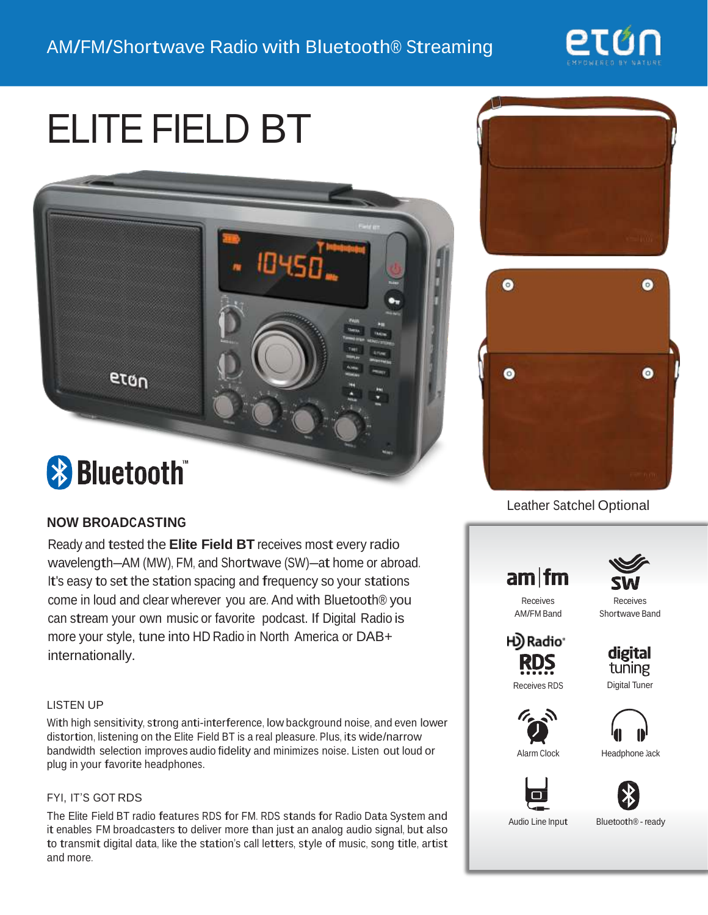

# ELITE FIELD BT



# **& Bluetooth**

## **NOW BROADCASTING**

Ready and tested the **Elite Field BT** receives most every radio wavelength—AM (MW), FM, and Shortwave (SW)—at home or abroad. It's easy to set the station spacing and frequency so your stations come in loud and clear wherever you are. And with Bluetooth® you can stream your own music or favorite podcast. If Digital Radio is more your style, tune into HD Radio in North America or DAB+ internationally.

#### LISTEN UP

With high sensitivity, strong anti-interference, low background noise, and even lower distortion, listening on the Elite Field BT is <sup>a</sup> real pleasure. Plus, its wide/narrow bandwidth selection improves audio fidelity and minimizes noise. Listen out loud or plug in your favorite headphones.

#### FYI, IT'S GOT RDS

The Elite Field BT radio features RDS for FM. RDS stands for Radio Data System and it enables FM broadcasters to deliver more than just an analog audio signal, but also to transmit digital data, like the station's call letters, style of music, song title, artist and more.





### Leather Satchel Optional



Bluetooth® - ready

Receives